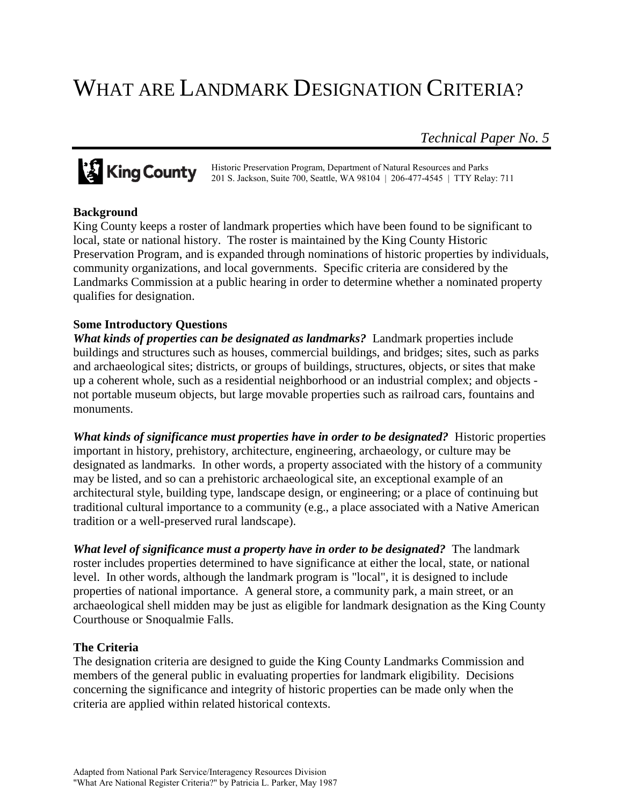# WHAT ARE LANDMARK DESIGNATION CRITERIA?

*Technical Paper No. 5*

**King County** Historic Preservation Program, Department of Natural Resources and Parks<br>201 S. Jackson, Suite 700, Seattle, WA 98104 | 206-477-4545 | TTY Rela 201 S. Jackson, Suite 700, Seattle, WA 98104 | 206-477-4545 | TTY Relay: 711

## **Background**

King County keeps a roster of landmark properties which have been found to be significant to local, state or national history. The roster is maintained by the King County Historic Preservation Program, and is expanded through nominations of historic properties by individuals, community organizations, and local governments. Specific criteria are considered by the Landmarks Commission at a public hearing in order to determine whether a nominated property qualifies for designation.

# **Some Introductory Questions**

*What kinds of properties can be designated as landmarks?* Landmark properties include buildings and structures such as houses, commercial buildings, and bridges; sites, such as parks and archaeological sites; districts, or groups of buildings, structures, objects, or sites that make up a coherent whole, such as a residential neighborhood or an industrial complex; and objects not portable museum objects, but large movable properties such as railroad cars, fountains and monuments.

*What kinds of significance must properties have in order to be designated?* Historic properties important in history, prehistory, architecture, engineering, archaeology, or culture may be designated as landmarks. In other words, a property associated with the history of a community may be listed, and so can a prehistoric archaeological site, an exceptional example of an architectural style, building type, landscape design, or engineering; or a place of continuing but traditional cultural importance to a community (e.g., a place associated with a Native American tradition or a well-preserved rural landscape).

*What level of significance must a property have in order to be designated?* The landmark roster includes properties determined to have significance at either the local, state, or national level. In other words, although the landmark program is "local", it is designed to include properties of national importance. A general store, a community park, a main street, or an archaeological shell midden may be just as eligible for landmark designation as the King County Courthouse or Snoqualmie Falls.

## **The Criteria**

The designation criteria are designed to guide the King County Landmarks Commission and members of the general public in evaluating properties for landmark eligibility. Decisions concerning the significance and integrity of historic properties can be made only when the criteria are applied within related historical contexts.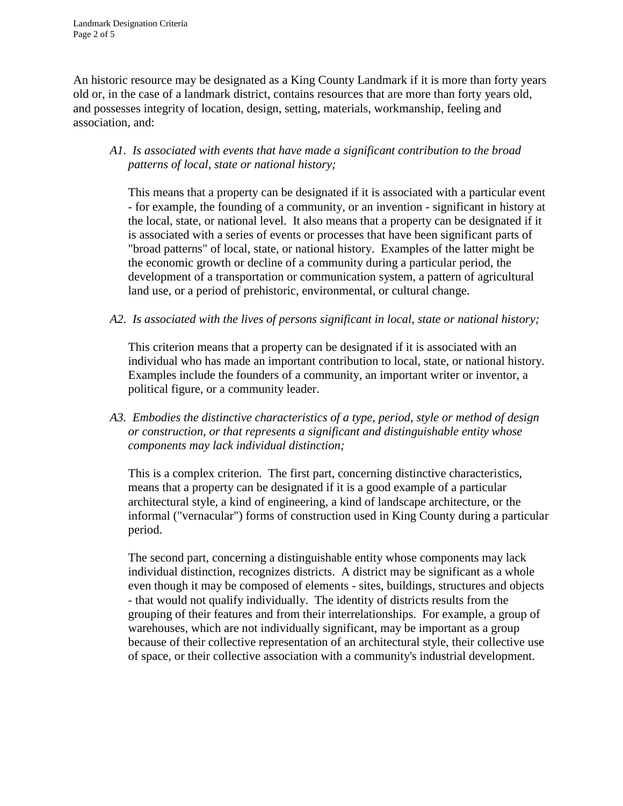An historic resource may be designated as a King County Landmark if it is more than forty years old or, in the case of a landmark district, contains resources that are more than forty years old, and possesses integrity of location, design, setting, materials, workmanship, feeling and association, and:

## *A1. Is associated with events that have made a significant contribution to the broad patterns of local, state or national history;*

This means that a property can be designated if it is associated with a particular event - for example, the founding of a community, or an invention - significant in history at the local, state, or national level. It also means that a property can be designated if it is associated with a series of events or processes that have been significant parts of "broad patterns" of local, state, or national history. Examples of the latter might be the economic growth or decline of a community during a particular period, the development of a transportation or communication system, a pattern of agricultural land use, or a period of prehistoric, environmental, or cultural change.

*A2. Is associated with the lives of persons significant in local, state or national history;*

This criterion means that a property can be designated if it is associated with an individual who has made an important contribution to local, state, or national history. Examples include the founders of a community, an important writer or inventor, a political figure, or a community leader.

*A3. Embodies the distinctive characteristics of a type, period, style or method of design or construction, or that represents a significant and distinguishable entity whose components may lack individual distinction;*

This is a complex criterion. The first part, concerning distinctive characteristics, means that a property can be designated if it is a good example of a particular architectural style, a kind of engineering, a kind of landscape architecture, or the informal ("vernacular") forms of construction used in King County during a particular period.

The second part, concerning a distinguishable entity whose components may lack individual distinction, recognizes districts. A district may be significant as a whole even though it may be composed of elements - sites, buildings, structures and objects - that would not qualify individually. The identity of districts results from the grouping of their features and from their interrelationships. For example, a group of warehouses, which are not individually significant, may be important as a group because of their collective representation of an architectural style, their collective use of space, or their collective association with a community's industrial development.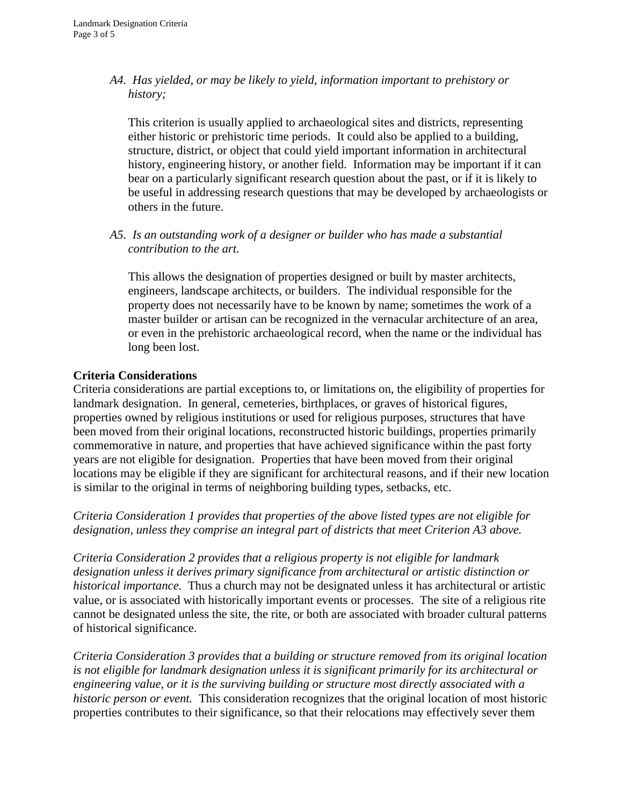*A4. Has yielded, or may be likely to yield, information important to prehistory or history;*

This criterion is usually applied to archaeological sites and districts, representing either historic or prehistoric time periods. It could also be applied to a building, structure, district, or object that could yield important information in architectural history, engineering history, or another field. Information may be important if it can bear on a particularly significant research question about the past, or if it is likely to be useful in addressing research questions that may be developed by archaeologists or others in the future.

*A5. Is an outstanding work of a designer or builder who has made a substantial contribution to the art.*

This allows the designation of properties designed or built by master architects, engineers, landscape architects, or builders. The individual responsible for the property does not necessarily have to be known by name; sometimes the work of a master builder or artisan can be recognized in the vernacular architecture of an area, or even in the prehistoric archaeological record, when the name or the individual has long been lost.

#### **Criteria Considerations**

Criteria considerations are partial exceptions to, or limitations on, the eligibility of properties for landmark designation. In general, cemeteries, birthplaces, or graves of historical figures, properties owned by religious institutions or used for religious purposes, structures that have been moved from their original locations, reconstructed historic buildings, properties primarily commemorative in nature, and properties that have achieved significance within the past forty years are not eligible for designation. Properties that have been moved from their original locations may be eligible if they are significant for architectural reasons, and if their new location is similar to the original in terms of neighboring building types, setbacks, etc.

*Criteria Consideration 1 provides that properties of the above listed types are not eligible for designation, unless they comprise an integral part of districts that meet Criterion A3 above.*

*Criteria Consideration 2 provides that a religious property is not eligible for landmark designation unless it derives primary significance from architectural or artistic distinction or historical importance.* Thus a church may not be designated unless it has architectural or artistic value, or is associated with historically important events or processes. The site of a religious rite cannot be designated unless the site, the rite, or both are associated with broader cultural patterns of historical significance.

*Criteria Consideration 3 provides that a building or structure removed from its original location is not eligible for landmark designation unless it is significant primarily for its architectural or engineering value, or it is the surviving building or structure most directly associated with a historic person or event.* This consideration recognizes that the original location of most historic properties contributes to their significance, so that their relocations may effectively sever them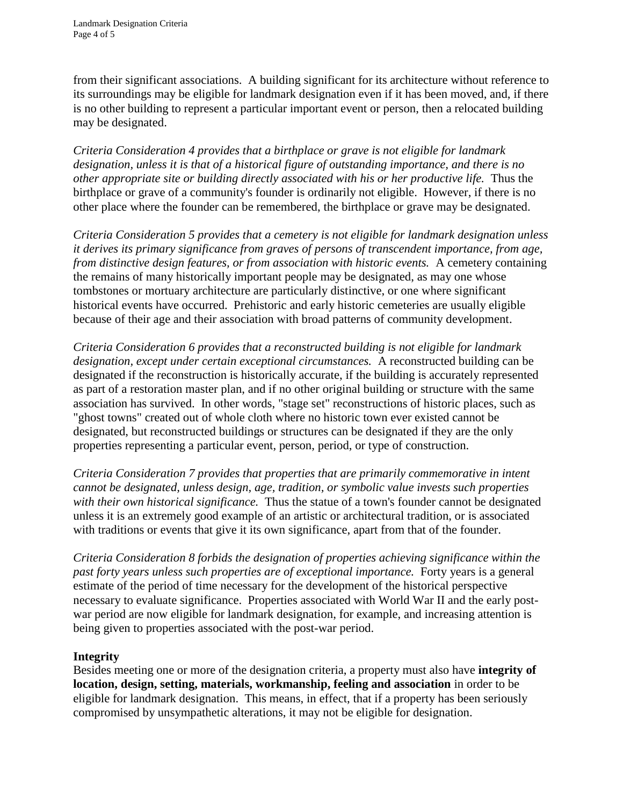from their significant associations. A building significant for its architecture without reference to its surroundings may be eligible for landmark designation even if it has been moved, and, if there is no other building to represent a particular important event or person, then a relocated building may be designated.

*Criteria Consideration 4 provides that a birthplace or grave is not eligible for landmark designation, unless it is that of a historical figure of outstanding importance, and there is no other appropriate site or building directly associated with his or her productive life.* Thus the birthplace or grave of a community's founder is ordinarily not eligible. However, if there is no other place where the founder can be remembered, the birthplace or grave may be designated.

*Criteria Consideration 5 provides that a cemetery is not eligible for landmark designation unless it derives its primary significance from graves of persons of transcendent importance, from age, from distinctive design features, or from association with historic events.* A cemetery containing the remains of many historically important people may be designated, as may one whose tombstones or mortuary architecture are particularly distinctive, or one where significant historical events have occurred. Prehistoric and early historic cemeteries are usually eligible because of their age and their association with broad patterns of community development.

*Criteria Consideration 6 provides that a reconstructed building is not eligible for landmark designation, except under certain exceptional circumstances.* A reconstructed building can be designated if the reconstruction is historically accurate, if the building is accurately represented as part of a restoration master plan, and if no other original building or structure with the same association has survived. In other words, "stage set" reconstructions of historic places, such as "ghost towns" created out of whole cloth where no historic town ever existed cannot be designated, but reconstructed buildings or structures can be designated if they are the only properties representing a particular event, person, period, or type of construction.

*Criteria Consideration 7 provides that properties that are primarily commemorative in intent cannot be designated, unless design, age, tradition, or symbolic value invests such properties with their own historical significance.* Thus the statue of a town's founder cannot be designated unless it is an extremely good example of an artistic or architectural tradition, or is associated with traditions or events that give it its own significance, apart from that of the founder.

*Criteria Consideration 8 forbids the designation of properties achieving significance within the past forty years unless such properties are of exceptional importance.* Forty years is a general estimate of the period of time necessary for the development of the historical perspective necessary to evaluate significance. Properties associated with World War II and the early postwar period are now eligible for landmark designation, for example, and increasing attention is being given to properties associated with the post-war period.

## **Integrity**

Besides meeting one or more of the designation criteria, a property must also have **integrity of location, design, setting, materials, workmanship, feeling and association** in order to be eligible for landmark designation. This means, in effect, that if a property has been seriously compromised by unsympathetic alterations, it may not be eligible for designation.